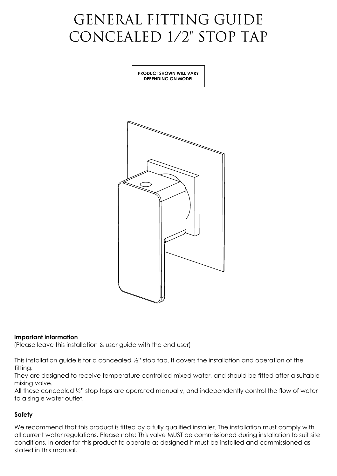# GENERAL FITTING GUIDE CONCEALED 1/2" STOP TAP

**PRODUCT SHOWN WILL VARY DEPENDING ON MODEL**



## **Important information**

(Please leave this installation & user guide with the end user)

This installation guide is for a concealed ½" stop tap. It covers the installation and operation of the fitting.

They are designed to receive temperature controlled mixed water, and should be fitted after a suitable mixing valve.

All these concealed 1/2" stop taps are operated manually, and independently control the flow of water to a single water outlet.

# **Safety**

We recommend that this product is fitted by a fully qualified installer. The installation must comply with all current water regulations. Please note: This valve MUST be commissioned during installation to suit site conditions. In order for this product to operate as designed it must be installed and commissioned as stated in this manual.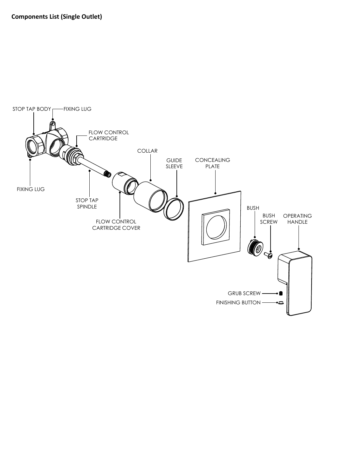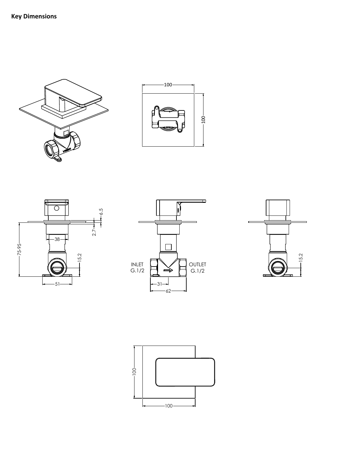